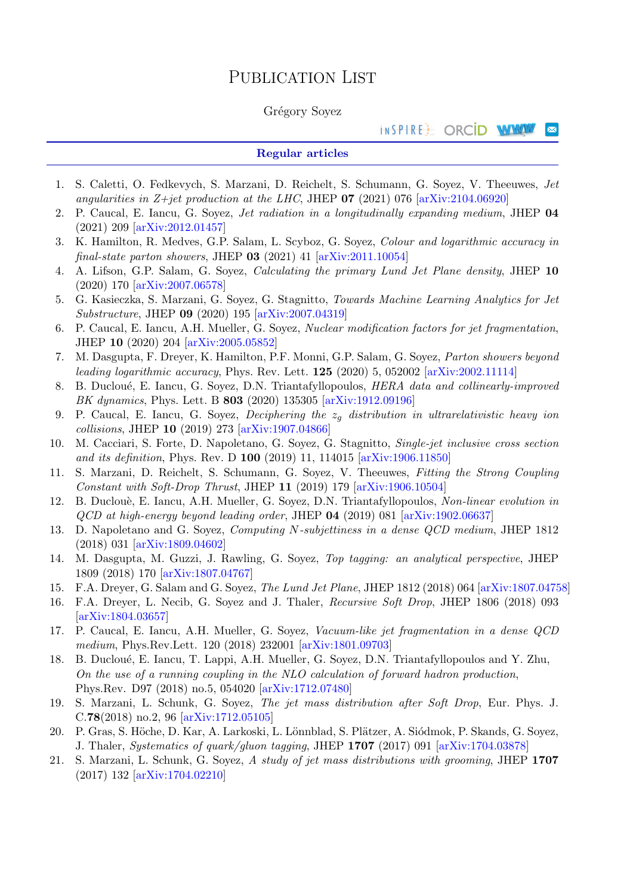# PUBLICATION LIST

# Grégory Soyez

#### INSPIRE: ORCID WWW ×

# Regular articles

- 1. S. Caletti, O. Fedkevych, S. Marzani, D. Reichelt, S. Schumann, G. Soyez, V. Theeuwes, Jet angularities in Z+jet production at the LHC, JHEP  $\overline{07}$  (2021) 076 [\[arXiv:2104.06920\]](http://arxiv.org/abs/2104.06920)
- 2. P. Caucal, E. Iancu, G. Soyez, Jet radiation in a longitudinally expanding medium, JHEP 04 (2021) 209 [\[arXiv:2012.01457\]](http://arxiv.org/abs/2012.01457)
- 3. K. Hamilton, R. Medves, G.P. Salam, L. Scyboz, G. Soyez, Colour and logarithmic accuracy in final-state parton showers, JHEP  $03$  (2021) 41 [\[arXiv:2011.10054\]](http://arxiv.org/abs/2011.10054)
- 4. A. Lifson, G.P. Salam, G. Soyez, Calculating the primary Lund Jet Plane density, JHEP 10 (2020) 170 [\[arXiv:2007.06578\]](http://arxiv.org/abs/2007.06578)
- 5. G. Kasieczka, S. Marzani, G. Soyez, G. Stagnitto, Towards Machine Learning Analytics for Jet Substructure, JHEP 09 (2020) 195 [\[arXiv:2007.04319\]](http://arxiv.org/abs/2007.04319)
- 6. P. Caucal, E. Iancu, A.H. Mueller, G. Soyez, Nuclear modification factors for jet fragmentation, JHEP 10 (2020) 204 [\[arXiv:2005.05852\]](http://arxiv.org/abs/2005.05852)
- 7. M. Dasgupta, F. Dreyer, K. Hamilton, P.F. Monni, G.P. Salam, G. Soyez, Parton showers beyond leading logarithmic accuracy, Phys. Rev. Lett. 125 (2020) 5, 052002 [\[arXiv:2002.11114\]](http://arxiv.org/abs/2002.11114)
- 8. B. Ducloué, E. Iancu, G. Soyez, D.N. Triantafyllopoulos, HERA data and collinearly-improved BK dynamics, Phys. Lett. B 803 (2020) 135305 [\[arXiv:1912.09196\]](http://arxiv.org/abs/1912.09196)
- 9. P. Caucal, E. Iancu, G. Soyez, *Deciphering the*  $z_q$  distribution in ultrarelativistic heavy ion collisions, JHEP 10 (2019) 273 [\[arXiv:1907.04866\]](http://arxiv.org/abs/1907.04866)
- 10. M. Cacciari, S. Forte, D. Napoletano, G. Soyez, G. Stagnitto, Single-jet inclusive cross section and its definition, Phys. Rev. D 100 (2019) 11, 114015 [\[arXiv:1906.11850\]](http://arxiv.org/abs/1906.11850)
- 11. S. Marzani, D. Reichelt, S. Schumann, G. Soyez, V. Theeuwes, Fitting the Strong Coupling Constant with Soft-Drop Thrust, JHEP 11 (2019) 179 [\[arXiv:1906.10504\]](http://arxiv.org/abs/1906.10504)
- 12. B. Duclouè, E. Iancu, A.H. Mueller, G. Soyez, D.N. Triantafyllopoulos, Non-linear evolution in QCD at high-energy beyond leading order, JHEP 04 (2019) 081 [\[arXiv:1902.06637\]](http://arxiv.org/abs/1902.06637)
- 13. D. Napoletano and G. Soyez, Computing N-subjettiness in a dense QCD medium, JHEP 1812 (2018) 031 [\[arXiv:1809.04602\]](http://arxiv.org/abs/1809.04602)
- 14. M. Dasgupta, M. Guzzi, J. Rawling, G. Soyez, Top tagging: an analytical perspective, JHEP 1809 (2018) 170 [\[arXiv:1807.04767\]](http://arxiv.org/abs/1807.04767)
- 15. F.A. Dreyer, G. Salam and G. Soyez, The Lund Jet Plane, JHEP 1812 (2018) 064 [\[arXiv:1807.04758\]](http://arxiv.org/abs/1807.04758)
- 16. F.A. Dreyer, L. Necib, G. Soyez and J. Thaler, Recursive Soft Drop, JHEP 1806 (2018) 093 [\[arXiv:1804.03657\]](http://arxiv.org/abs/1804.03657)
- 17. P. Caucal, E. Iancu, A.H. Mueller, G. Soyez, Vacuum-like jet fragmentation in a dense QCD medium, Phys.Rev.Lett. 120 (2018) 232001 [\[arXiv:1801.09703\]](http://arxiv.org/abs/1801.09703)
- 18. B. Ducloué, E. Iancu, T. Lappi, A.H. Mueller, G. Soyez, D.N. Triantafyllopoulos and Y. Zhu, On the use of a running coupling in the NLO calculation of forward hadron production, Phys.Rev. D97 (2018) no.5, 054020 [\[arXiv:1712.07480\]](http://arxiv.org/abs/1712.07480)
- 19. S. Marzani, L. Schunk, G. Soyez, The jet mass distribution after Soft Drop, Eur. Phys. J. C.78(2018) no.2, 96 [\[arXiv:1712.05105\]](http://arxiv.org/abs/1712.05105)
- 20. P. Gras, S. Höche, D. Kar, A. Larkoski, L. Lönnblad, S. Plätzer, A. Siódmok, P. Skands, G. Soyez, J. Thaler, Systematics of quark/gluon tagging, JHEP 1707 (2017) 091 [\[arXiv:1704.03878\]](http://arxiv.org/abs/1704.03878)
- 21. S. Marzani, L. Schunk, G. Soyez, A study of jet mass distributions with grooming, JHEP 1707 (2017) 132 [\[arXiv:1704.02210\]](http://arxiv.org/abs/1704.02210)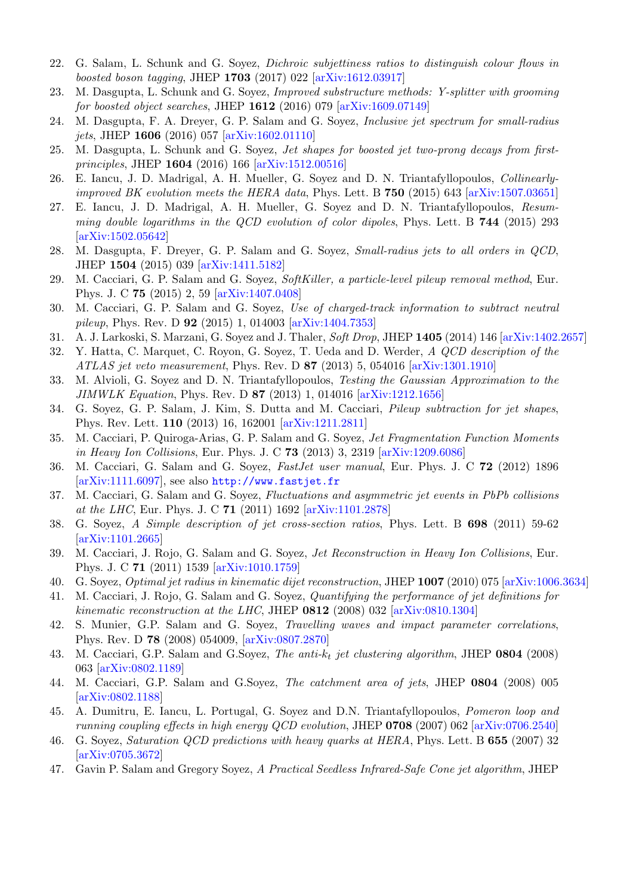- 22. G. Salam, L. Schunk and G. Soyez, Dichroic subjettiness ratios to distinguish colour flows in boosted boson tagging, JHEP 1703 (2017) 022 [\[arXiv:1612.03917\]](http://arxiv.org/abs/1612.03917)
- 23. M. Dasgupta, L. Schunk and G. Soyez, Improved substructure methods: Y-splitter with grooming for boosted object searches, JHEP  $1612$  (2016) 079 [\[arXiv:1609.07149\]](http://arxiv.org/abs/1609.07149)
- 24. M. Dasgupta, F. A. Dreyer, G. P. Salam and G. Soyez, Inclusive jet spectrum for small-radius jets, JHEP 1606 (2016) 057 [\[arXiv:1602.01110\]](http://arxiv.org/abs/1602.01110)
- 25. M. Dasgupta, L. Schunk and G. Soyez, Jet shapes for boosted jet two-prong decays from firstprinciples, JHEP 1604 (2016) 166 [\[arXiv:1512.00516\]](http://arxiv.org/abs/1512.00516)
- 26. E. Iancu, J. D. Madrigal, A. H. Mueller, G. Soyez and D. N. Triantafyllopoulos, Collinearly*improved BK evolution meets the HERA data*, Phys. Lett. B  $750$  (2015) 643 [\[arXiv:1507.03651\]](http://arxiv.org/abs/1507.03651)
- 27. E. Iancu, J. D. Madrigal, A. H. Mueller, G. Soyez and D. N. Triantafyllopoulos, Resumming double logarithms in the QCD evolution of color dipoles, Phys. Lett. B 744 (2015) 293 [\[arXiv:1502.05642\]](http://arxiv.org/abs/1502.05642)
- 28. M. Dasgupta, F. Dreyer, G. P. Salam and G. Soyez, Small-radius jets to all orders in QCD, JHEP 1504 (2015) 039 [\[arXiv:1411.5182\]](http://arxiv.org/abs/1411.5182)
- 29. M. Cacciari, G. P. Salam and G. Soyez, SoftKiller, a particle-level pileup removal method, Eur. Phys. J. C 75 (2015) 2, 59 [\[arXiv:1407.0408\]](http://arxiv.org/abs/1407.0408)
- 30. M. Cacciari, G. P. Salam and G. Soyez, Use of charged-track information to subtract neutral pileup, Phys. Rev. D 92 (2015) 1, 014003 [\[arXiv:1404.7353\]](http://arxiv.org/abs/1404.7353)
- 31. A. J. Larkoski, S. Marzani, G. Soyez and J. Thaler, Soft Drop, JHEP 1405 (2014) 146 [\[arXiv:1402.2657\]](http://arxiv.org/abs/1402.2657)
- 32. Y. Hatta, C. Marquet, C. Royon, G. Soyez, T. Ueda and D. Werder, A QCD description of the ATLAS jet veto measurement, Phys. Rev. D 87 (2013) 5, 054016 [\[arXiv:1301.1910\]](http://arxiv.org/abs/1301.1910)
- 33. M. Alvioli, G. Soyez and D. N. Triantafyllopoulos, Testing the Gaussian Approximation to the JIMWLK Equation, Phys. Rev. D 87 (2013) 1, 014016 [\[arXiv:1212.1656\]](http://arxiv.org/abs/1212.1656)
- 34. G. Soyez, G. P. Salam, J. Kim, S. Dutta and M. Cacciari, Pileup subtraction for jet shapes, Phys. Rev. Lett. 110 (2013) 16, 162001 [\[arXiv:1211.2811\]](http://arxiv.org/abs/1211.2811)
- 35. M. Cacciari, P. Quiroga-Arias, G. P. Salam and G. Soyez, Jet Fragmentation Function Moments in Heavy Ion Collisions, Eur. Phys. J. C 73 (2013) 3, 2319 [\[arXiv:1209.6086\]](http://arxiv.org/abs/1209.6086)
- 36. M. Cacciari, G. Salam and G. Soyez, FastJet user manual, Eur. Phys. J. C 72 (2012) 1896 [\[arXiv:1111.6097\]](http://arxiv.org/abs/1111.6097), see also <http://www.fastjet.fr>
- 37. M. Cacciari, G. Salam and G. Soyez, Fluctuations and asymmetric jet events in PbPb collisions at the LHC, Eur. Phys. J. C 71 (2011) 1692 [\[arXiv:1101.2878\]](http://arxiv.org/abs/1101.2878)
- 38. G. Soyez, A Simple description of jet cross-section ratios, Phys. Lett. B 698 (2011) 59-62 [\[arXiv:1101.2665\]](http://arxiv.org/abs/1101.2665)
- 39. M. Cacciari, J. Rojo, G. Salam and G. Soyez, Jet Reconstruction in Heavy Ion Collisions, Eur. Phys. J. C 71 (2011) 1539 [\[arXiv:1010.1759\]](http://arxiv.org/abs/1010.1759)
- 40. G. Soyez, Optimal jet radius in kinematic dijet reconstruction, JHEP 1007 (2010) 075 [\[arXiv:1006.3634\]](http://arxiv.org/abs/1006.3634)
- 41. M. Cacciari, J. Rojo, G. Salam and G. Soyez, Quantifying the performance of jet definitions for kinematic reconstruction at the LHC, JHEP  $0812$  (2008) 032 [\[arXiv:0810.1304\]](http://arxiv.org/abs/0810.1304)
- 42. S. Munier, G.P. Salam and G. Soyez, Travelling waves and impact parameter correlations, Phys. Rev. D 78 (2008) 054009, [\[arXiv:0807.2870\]](http://arxiv.org/abs/0807.2870)
- 43. M. Cacciari, G.P. Salam and G.Soyez, The anti- $k_t$  jet clustering algorithm, JHEP 0804 (2008) 063 [\[arXiv:0802.1189\]](http://arxiv.org/abs/0802.1189)
- 44. M. Cacciari, G.P. Salam and G.Soyez, The catchment area of jets, JHEP 0804 (2008) 005 [\[arXiv:0802.1188\]](http://arxiv.org/abs/0802.1188)
- 45. A. Dumitru, E. Iancu, L. Portugal, G. Soyez and D.N. Triantafyllopoulos, Pomeron loop and running coupling effects in high energy QCD evolution, JHEP 0708 (2007) 062 [\[arXiv:0706.2540\]](http://arxiv.org/abs/0706.2540)
- 46. G. Soyez, Saturation QCD predictions with heavy quarks at HERA, Phys. Lett. B 655 (2007) 32 [\[arXiv:0705.3672\]](http://arxiv.org/abs/0705.3672)
- 47. Gavin P. Salam and Gregory Soyez, A Practical Seedless Infrared-Safe Cone jet algorithm, JHEP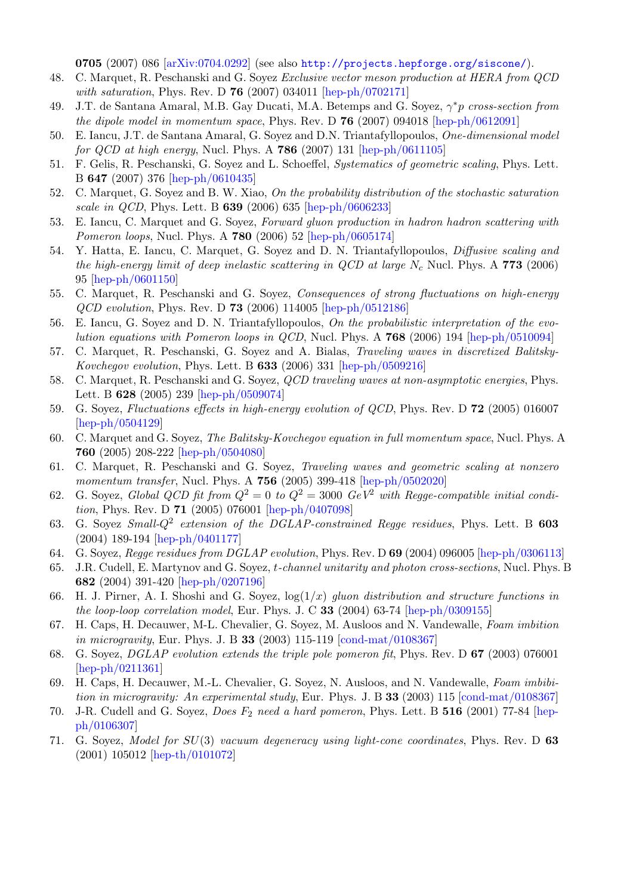0705 (2007) 086 [\[arXiv:0704.0292\]](http://arxiv.org/abs/0704.0292) (see also <http://projects.hepforge.org/siscone/>).

- 48. C. Marquet, R. Peschanski and G. Soyez Exclusive vector meson production at HERA from QCD with saturation, Phys. Rev. D **76** (2007) 034011 [\[hep-ph/0702171\]](http://arxiv.org/abs/hep-ph/0702171)
- 49. J.T. de Santana Amaral, M.B. Gay Ducati, M.A. Betemps and G. Soyez,  $\gamma^* p$  cross-section from the dipole model in momentum space, Phys. Rev. D  $76$  (2007) 094018 [\[hep-ph/0612091\]](http://arxiv.org/abs/hep-ph/0612091)
- 50. E. Iancu, J.T. de Santana Amaral, G. Soyez and D.N. Triantafyllopoulos, One-dimensional model for  $QCD$  at high energy, Nucl. Phys. A 786 (2007) 131 [\[hep-ph/0611105\]](http://arxiv.org/abs/hep-ph/0611105)
- 51. F. Gelis, R. Peschanski, G. Soyez and L. Schoeffel, Systematics of geometric scaling, Phys. Lett. B 647 (2007) 376 [\[hep-ph/0610435\]](http://arxiv.org/abs/hep-ph/0610435)
- 52. C. Marquet, G. Soyez and B. W. Xiao, On the probability distribution of the stochastic saturation scale in QCD, Phys. Lett. B 639 (2006) 635 [\[hep-ph/0606233\]](http://arxiv.org/abs/hep-ph/0606233)
- 53. E. Iancu, C. Marquet and G. Soyez, Forward gluon production in hadron hadron scattering with Pomeron loops, Nucl. Phys. A 780 (2006) 52 [\[hep-ph/0605174\]](http://arxiv.org/abs/hep-ph/0605174)
- 54. Y. Hatta, E. Iancu, C. Marquet, G. Soyez and D. N. Triantafyllopoulos, Diffusive scaling and the high-energy limit of deep inelastic scattering in  $QCD$  at large  $N_c$  Nucl. Phys. A 773 (2006) 95 [\[hep-ph/0601150\]](http://arxiv.org/abs/hep-ph/0601150)
- 55. C. Marquet, R. Peschanski and G. Soyez, Consequences of strong fluctuations on high-energy QCD evolution, Phys. Rev. D 73 (2006) 114005 [\[hep-ph/0512186\]](http://arxiv.org/abs/hep-ph/0512186)
- 56. E. Iancu, G. Soyez and D. N. Triantafyllopoulos, On the probabilistic interpretation of the evolution equations with Pomeron loops in QCD, Nucl. Phys. A 768 (2006) 194 [\[hep-ph/0510094\]](http://arxiv.org/abs/hep-ph/0510094)
- 57. C. Marquet, R. Peschanski, G. Soyez and A. Bialas, Traveling waves in discretized Balitsky-Kovchegov evolution, Phys. Lett. B 633 (2006) 331 [\[hep-ph/0509216\]](http://arxiv.org/abs/hep-ph/0509216)
- 58. C. Marquet, R. Peschanski and G. Soyez, QCD traveling waves at non-asymptotic energies, Phys. Lett. B 628 (2005) 239 [\[hep-ph/0509074\]](http://arxiv.org/abs/hep-ph/0509074)
- 59. G. Soyez, Fluctuations effects in high-energy evolution of QCD, Phys. Rev. D 72 (2005) 016007 [\[hep-ph/0504129\]](http://arxiv.org/abs/hep-ph/0504129)
- 60. C. Marquet and G. Soyez, The Balitsky-Kovchegov equation in full momentum space, Nucl. Phys. A 760 (2005) 208-222 [\[hep-ph/0504080\]](http://arxiv.org/abs/hep-ph/0504080)
- 61. C. Marquet, R. Peschanski and G. Soyez, Traveling waves and geometric scaling at nonzero momentum transfer, Nucl. Phys. A **756** (2005) 399-418 [\[hep-ph/0502020\]](http://arxiv.org/abs/hep-ph/0502020)
- 62. G. Soyez, Global QCD fit from  $Q^2 = 0$  to  $Q^2 = 3000$  GeV<sup>2</sup> with Regge-compatible initial condition, Phys. Rev. D 71 (2005) 076001 [\[hep-ph/0407098\]](http://arxiv.org/abs/hep-ph/0407098)
- 63. G. Soyez Small- $Q^2$  extension of the DGLAP-constrained Regge residues, Phys. Lett. B 603 (2004) 189-194 [\[hep-ph/0401177\]](http://arxiv.org/abs/hep-ph/0401177)
- 64. G. Soyez, Regge residues from DGLAP evolution, Phys. Rev. D 69 (2004) 096005 [\[hep-ph/0306113\]](http://arxiv.org/abs/hep-ph/0306113)
- 65. J.R. Cudell, E. Martynov and G. Soyez, t-channel unitarity and photon cross-sections, Nucl. Phys. B 682 (2004) 391-420 [\[hep-ph/0207196\]](http://arxiv.org/abs/hep-ph/0207196)
- 66. H. J. Pirner, A. I. Shoshi and G. Soyez,  $log(1/x)$  gluon distribution and structure functions in the loop-loop correlation model, Eur. Phys. J. C 33 (2004) 63-74 [\[hep-ph/0309155\]](http://arxiv.org/abs/hep-ph/0309155)
- 67. H. Caps, H. Decauwer, M-L. Chevalier, G. Soyez, M. Ausloos and N. Vandewalle, Foam imbition in microgravity, Eur. Phys. J. B 33 (2003) 115-119 [\[cond-mat/0108367\]](http://arxiv.org/abs/cond*mat/0108367)
- 68. G. Soyez, DGLAP evolution extends the triple pole pomeron fit, Phys. Rev. D 67 (2003) 076001 [\[hep-ph/0211361\]](http://arxiv.org/abs/hep-ph/0211361)
- 69. H. Caps, H. Decauwer, M.-L. Chevalier, G. Soyez, N. Ausloos, and N. Vandewalle, Foam imbibition in microgravity: An experimental study, Eur. Phys. J. B 33 (2003) 115  $\sim$  [\[cond-mat/0108367\]](http://arxiv.org/abs/cond*mat/0108367)
- 70. J-R. Cudell and G. Soyez, *Does F<sub>2</sub> need a hard pomeron*, Phys. Lett. B 516 (2001) 77-84 [\[hep](http://arxiv.org/abs/hep-ph/0106307)[ph/0106307\]](http://arxiv.org/abs/hep-ph/0106307)
- 71. G. Soyez, Model for SU(3) vacuum degeneracy using light-cone coordinates, Phys. Rev. D 63 (2001) 105012 [\[hep-th/0101072\]](http://arxiv.org/abs/hep-ph/0101072)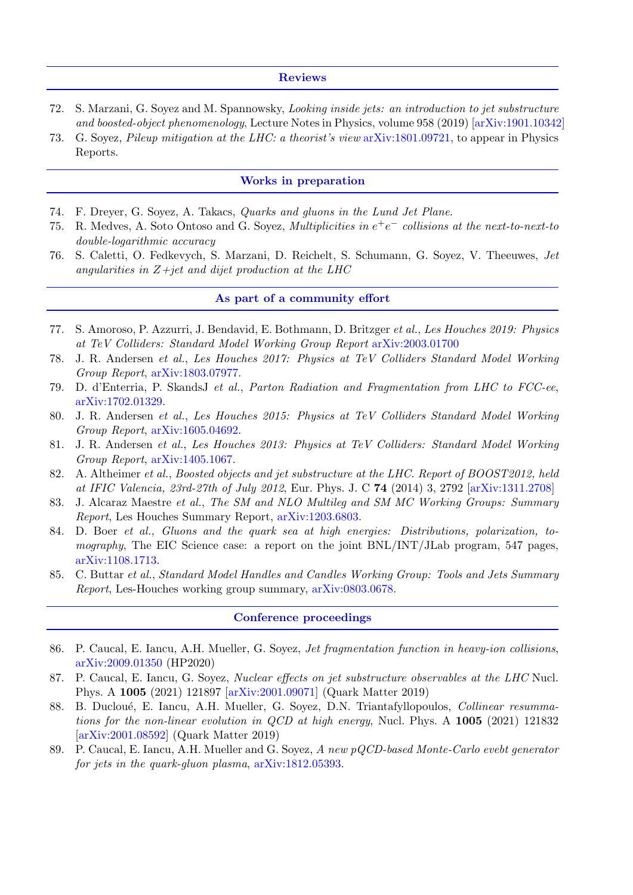### Reviews

- 72. S. Marzani, G. Soyez and M. Spannowsky, Looking inside jets: an introduction to jet substructure and boosted-object phenomenology, Lecture Notes in Physics, volume 958 (2019) [\[arXiv:1901.10342\]](http://arxiv.org/abs/1901.10342)
- 73. G. Soyez, Pileup mitigation at the LHC: a theorist's view [arXiv:1801.09721,](http://arxiv.org/abs/1801.09721) to appear in Physics Reports.

## Works in preparation

- 74. F. Dreyer, G. Soyez, A. Takacs, Quarks and gluons in the Lund Jet Plane.
- 75. R. Medves, A. Soto Ontoso and G. Soyez, *Multiplicities in*  $e^+e^-$  collisions at the next-to-next-to double-logarithmic accuracy
- 76. S. Caletti, O. Fedkevych, S. Marzani, D. Reichelt, S. Schumann, G. Soyez, V. Theeuwes, Jet angularities in  $Z+jet$  and dijet production at the LHC

# As part of a community effort

- 77. S. Amoroso, P. Azzurri, J. Bendavid, E. Bothmann, D. Britzger et al., Les Houches 2019: Physics at TeV Colliders: Standard Model Working Group Report [arXiv:2003.01700](http://arxiv.org/abs/2003.01700)
- 78. J. R. Andersen et al., Les Houches 2017: Physics at TeV Colliders Standard Model Working Group Report, [arXiv:1803.07977.](http://arxiv.org/abs/1803.07977)
- 79. D. d'Enterria, P. SkandsJ et al., Parton Radiation and Fragmentation from LHC to FCC-ee, [arXiv:1702.01329.](http://arxiv.org/abs/1702.01329)
- 80. J. R. Andersen et al., Les Houches 2015: Physics at TeV Colliders Standard Model Working Group Report, [arXiv:1605.04692.](http://arxiv.org/abs/1605.04692)
- 81. J. R. Andersen et al., Les Houches 2013: Physics at TeV Colliders: Standard Model Working Group Report, [arXiv:1405.1067.](http://arxiv.org/abs/1405.1067)
- 82. A. Altheimer et al., Boosted objects and jet substructure at the LHC. Report of BOOST2012, held at IFIC Valencia, 23rd-27th of July 2012, Eur. Phys. J. C 74 (2014) 3, 2792 [\[arXiv:1311.2708\]](http://arxiv.org/abs/1311.2708)
- 83. J. Alcaraz Maestre et al., The SM and NLO Multileg and SM MC Working Groups: Summary Report, Les Houches Summary Report, [arXiv:1203.6803.](http://arxiv.org/abs/1203.6803)
- 84. D. Boer et al., Gluons and the quark sea at high energies: Distributions, polarization, tomography, The EIC Science case: a report on the joint  $BNL/INT/JLab$  program, 547 pages, [arXiv:1108.1713.](http://arxiv.org/abs/1108.1713)
- 85. C. Buttar et al., Standard Model Handles and Candles Working Group: Tools and Jets Summary Report, Les-Houches working group summary, [arXiv:0803.0678.](http://arxiv.org/abs/0803.0678)

#### Conference proceedings

- 86. P. Caucal, E. Iancu, A.H. Mueller, G. Soyez, Jet fragmentation function in heavy-ion collisions, [arXiv:2009.01350](http://arxiv.org/abs/2009.01350) (HP2020)
- 87. P. Caucal, E. Iancu, G. Soyez, *Nuclear effects on jet substructure observables at the LHC* Nucl. Phys. A 1005 (2021) 121897 [\[arXiv:2001.09071\]](http://arxiv.org/abs/2001.09071) (Quark Matter 2019)
- 88. B. Ducloué, E. Iancu, A.H. Mueller, G. Soyez, D.N. Triantafyllopoulos, Collinear resummations for the non-linear evolution in QCD at high energy, Nucl. Phys. A  $1005$  (2021) 121832 [\[arXiv:2001.08592\]](http://arxiv.org/abs/2001.08592) (Quark Matter 2019)
- 89. P. Caucal, E. Iancu, A.H. Mueller and G. Soyez, A new pQCD-based Monte-Carlo evebt generator for jets in the quark-gluon plasma, [arXiv:1812.05393.](http://arxiv.org/abs/1812.05393)